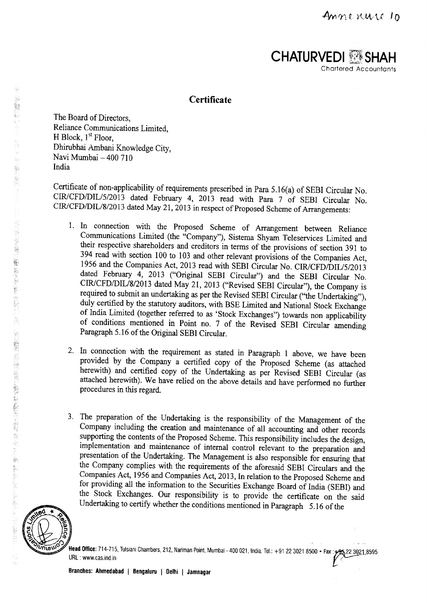

# **Certificate**

The Board of Directors, Reliance Communications Limited, H Block,  $1<sup>st</sup>$  Floor, Dhirubhai Ambani Knowledge City, Navi Mumbai - 400 710 India

Certificate of non-applicability of requirements prescribed in Para 5.16(a) of SEBI Circular No. CIR/CFD/DIL/5/2013 dated February 4, 2013 read with Para 7 of SEBI Circular No. CIR/CFD/DIL/8/2013 dated May 21, 2013 in respect of Proposed Scheme of Arrangements:

- 1. In connection with the Proposed Scheme of Arrangement between Reliance Communications Limited (the "Company"), Sistema Shyam Teleservices Limited and their respective shareholders and creditors in terms of the provisions of section 391 to 394 read with section 100 to 103 and other relevant provisions of the Companies Act, 1956 and the Companies Act, 2013 read with SEBI Circular No. CIR/CFD/DIL/5/2013 dated February 4, 2013 ("Original SEBI Circular") and the SEBI Circular No. CIR/CFD/DIL/8/2013 dated May 21, 2013 ("Revised SEBI Circular"), the Company is required to submit an undertaking as per the Revised SEBI Circular ("the Undertaking"), duly certified by the statutory auditors, with BSE Limited and National Stock Exchange of India Limited (together referred to as `Stock Exchanges") towards non applicability of conditions mentioned in Point no. 7 of the Revised SEBI Circular amending Paragraph 5.16 of the Original SEBI Circular.
- 2. In connection with the requirement as stated in Paragraph 1 above, we have been provided by the Company a certified copy of the Proposed Scheme (as attached herewith) and certified copy of the Undertaking as per Revised SEBI Circular (as attached herewith). We have relied on the above details and have performed no further procedures in this regard.
- 3. The preparation of the Undertaking is the responsibility of the Management of the Company including the creation and maintenance of all accounting and other records supporting the contents of the Proposed Scheme. This responsibility includes the design, implementation and maintenance of internal control relevant to the preparation and presentation of the Undertaking. The Management is also responsible for ensuring that the Company complies with the requirements of the aforesaid SEBI Circulars and the Companies Act, 1956 and Companies Act, 2013, In relation to the Proposed Scheme and for providing all the information to the Securities Exchange Board of India (SEBI) and the Stock Exchanges. Our responsibility is to provide the certificate on the said Undertaking to certify whether the conditions mentioned in Paragraph 5.16 of the



**Head Office:** 714-715, Tulsiani Chambers, 212, Nariman Point, Mumbai - 400 021, India. Tel.: +91 22 3021 8500 • Fax : <del>+91</del> 22 3021 859 URL : www.cas.ind.in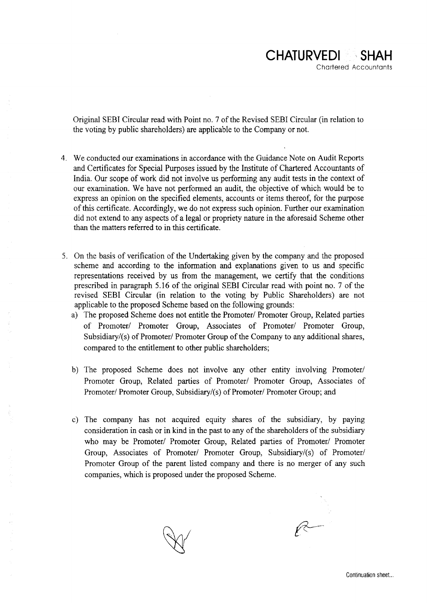Original SEBI Circular read with Point no. 7 of the Revised SEBI Circular (in relation to the voting by public shareholders) are applicable to the Company or not.

- 4. We conducted our examinations in accordance with the Guidance Note on Audit Reports and Certificates for Special Purposes issued by the Institute of Chartered Accountants of India. Our scope of work did not involve us performing any audit tests in the context of our examination. We have not performed an audit, the objective of which would be to express an opinion on the specified elements, accounts or items thereof, for the purpose of this certificate. Accordingly, we do not express such opinion. Further our examination did not extend to any aspects of a legal or propriety nature in the aforesaid Scheme other than the matters referred to in this certificate.
- 5. On the basis of verification of the Undertaking given by the company and the proposed scheme and according to the information and explanations given to us and specific representations received by us from the management, we certify that the conditions prescribed in paragraph 5.16 of the original SEBI Circular read with point no. 7 of the revised SEBI Circular (in relation to the voting by Public Shareholders) are not applicable to the proposed Scheme based on the following grounds:
	- a) The proposed Scheme does not entitle the Promoter/ Promoter Group, Related parties of Promoter/ Promoter Group, Associates of Promoter/ Promoter Group, Subsidiary/(s) of Promoter/ Promoter Group of the Company to any additional shares, compared to the entitlement to other public shareholders;
	- b) The **proposed Scheme does not involve** any other entity **involving Promoter/ Promoter** Group, **Related parties of Promoter/ Promoter** Group, Associates of **Promoter**/ **Promoter** Group, Subsidiary**/(s) of Promoter**/ **Promoter** Group; and
	- c) The **company has not acquired equity shares of the subsidiary** , **by paying consideration in cash or in kind in the past to any of the shareholders of the subsidiary who may be Promoter/ Promoter Group** , **Related parties of Promoter**/ **Promoter Group**, **Associates of Promoter/ Promoter Group** , **Subsidiary/(s) of Promoter/ Promoter Group of the parent listed company and there is no merger of any such companies, which is proposed under the proposed Scheme.**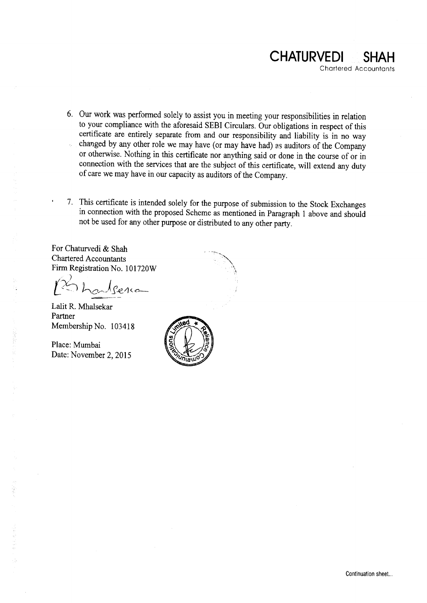

- 6. Our work was performed solely to assist you in meeting your responsibilities in relation to your compliance with the aforesaid SEBI Circulars. Our obligations in respect of this certificate are entirely separate from and our responsibility and liability is in no way changed by any other role we may have (or may have had) as auditors of the Company i. or otherwise. Nothing in this certificate nor anything said or done in the course of or in connection with the services that are the subject of this certificate, will extend any duty of care we may have in our capacity as auditors of the Company.
- 7. This certificate is intended solely for the purpose of submission to the Stock Exchanges in connection with the proposed Scheme as mentioned in Paragraph 1 above and should not be used for any other purpose or distributed to any other party.

**For Chaturvedi & Shah** Chartered **Accountants Firm Registration** No. 101720 W

houtseria

Lalit R. Mhalsekar **Partner Membership** No. 103418

Place: Mumbai Date: November 2, 2015

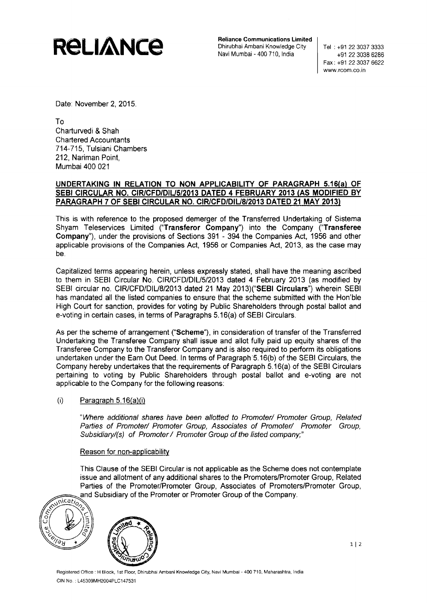

**Reliance Communications Limited** Dhirubhai Ambani Knowledge City Navi Mumbai - 400 710, India

Tel : +91 22 3037 3333 +91 22 3038 6286 Fax : +91 22 3037 6622 www.rcom.co.in

**Date: November** 2, 2015.

To **Charturvedi & Shah Chartered Accountants** 714-715, **Tulsiani Chambers 212, Nariman Point, Mumbai 400 021**

## **UNDERTAKING IN RELATION TO NON APPLICABILITY OF PARAGRAPH 5.16(a) OF SEBI CIRCULAR NO. CIR**I**CFDIDIU5**1**2013 DATED 4 FEBRUARY 2013 (AS MODIFIED BY PARAGRAPH 7 OF SEBI CIRCULAR NO** . **CIR/CFD/DIU8/2013 DATED 21 MAY 2013)**

This is with reference to the proposed demerger of the Transferred Undertaking of Sistema Shyam Teleservices Limited (" **Transferor Company**") into the Company (" **Transferee Company**"), under the provisions of Sections 391 - 394 the Companies Act, 1956 and other applicable provisions of the Companies Act, 1956 or Companies Act, 2013, as the case may be.

Capitalized terms appearing herein, unless expressly stated, shall have the meaning ascribed to them in SEBI Circular No. CIR/CFD/DIU5/2013 dated 4 February 2013 (as modified by SEBI circular no. CIR/CFD/DIU8/2013 dated 21 May 2013)(" **SEBI Circulars**") wherein SEBI has mandated all the listed companies to ensure that the scheme submitted with the Hon'ble High Court for sanction, provides for voting by Public Shareholders through postal ballot and e-voting in certain cases, in terms of Paragraphs 5.16(a) of SEBI Circulars.

As per the scheme of arrangement ("Scheme"), in consideration of transfer of the Transferred Undertaking the Transferee Company shall issue and allot fully paid up equity shares of the Transferee Company to the Transferor Company and is also required to perform its obligations undertaken under the Earn Out Deed. In terms of Paragraph '5.16(b) of the SEBI Circulars, the Company hereby undertakes that the requirements of Paragraph 5.16(a) of the SEBI Circulars pertaining to voting by Public Shareholders through postal ballot and e-voting are not applicable to the Company for the following reasons:

## $(i)$  Paragraph 5.16 $(a)(i)$

"Where additional shares have been allotted to Promoter/ Promoter Group, Related Parties of Promoter/ Promoter Group, Associates of Promoter/ Promoter Group, Subsidiary/(s) of Promoter / Promoter Group of the listed company;<sup>\*</sup>

## Reason for non-applicability

issue and allotment of any additional shares to the Promoters/Promoter Group, Related Parties of the Promoter/Promoter Group, Associates of Promoters/Promoter Group, and Subsidiary of the Promoter or Promoter Group of the Company. This Clause of the SEBI Circular is not applicable as the Scheme does not contemplate





**Registered** Office H Block, 1st Floor, **Dhirubhai Ambani Knowledge City, Navi Mumbai** - 400 710, **Maharashtra, India** CIN No. : L45309MH2004PLC147531